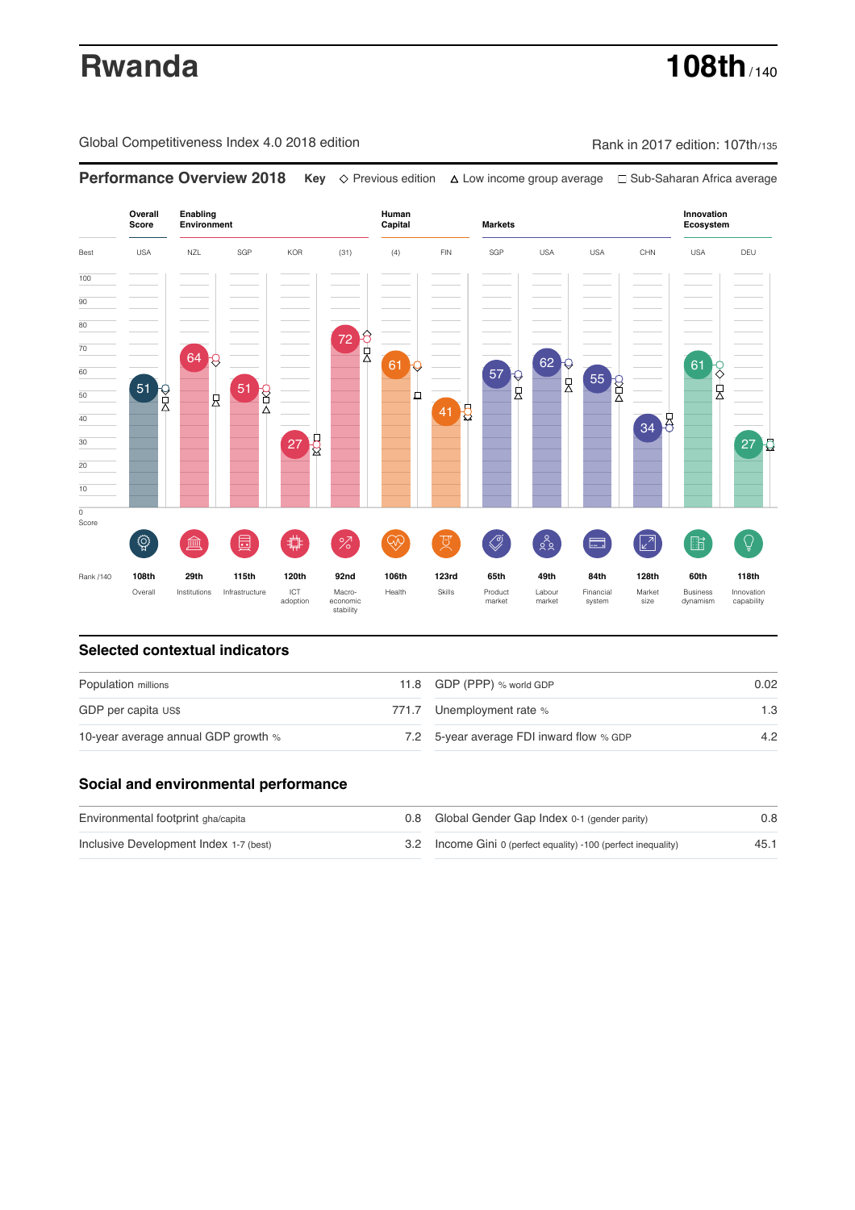# **Rwanda 108th** / 140

Global Competitiveness Index 4.0 2018 edition Company Rank in 2017 edition: 107th/135



### **Selected contextual indicators**

| Population millions                 |  | 11.8 GDP (PPP) % world GDP               | 0.02 |
|-------------------------------------|--|------------------------------------------|------|
| GDP per capita US\$                 |  | 771.7 Unemployment rate %                | 1.3  |
| 10-year average annual GDP growth % |  | 7.2 5-year average FDI inward flow % GDP | 4.2  |

### **Social and environmental performance**

| Environmental footprint gha/capita     | 0.8 Global Gender Gap Index 0-1 (gender parity)                | 0.8  |
|----------------------------------------|----------------------------------------------------------------|------|
| Inclusive Development Index 1-7 (best) | 3.2 Income Gini 0 (perfect equality) -100 (perfect inequality) | 45.1 |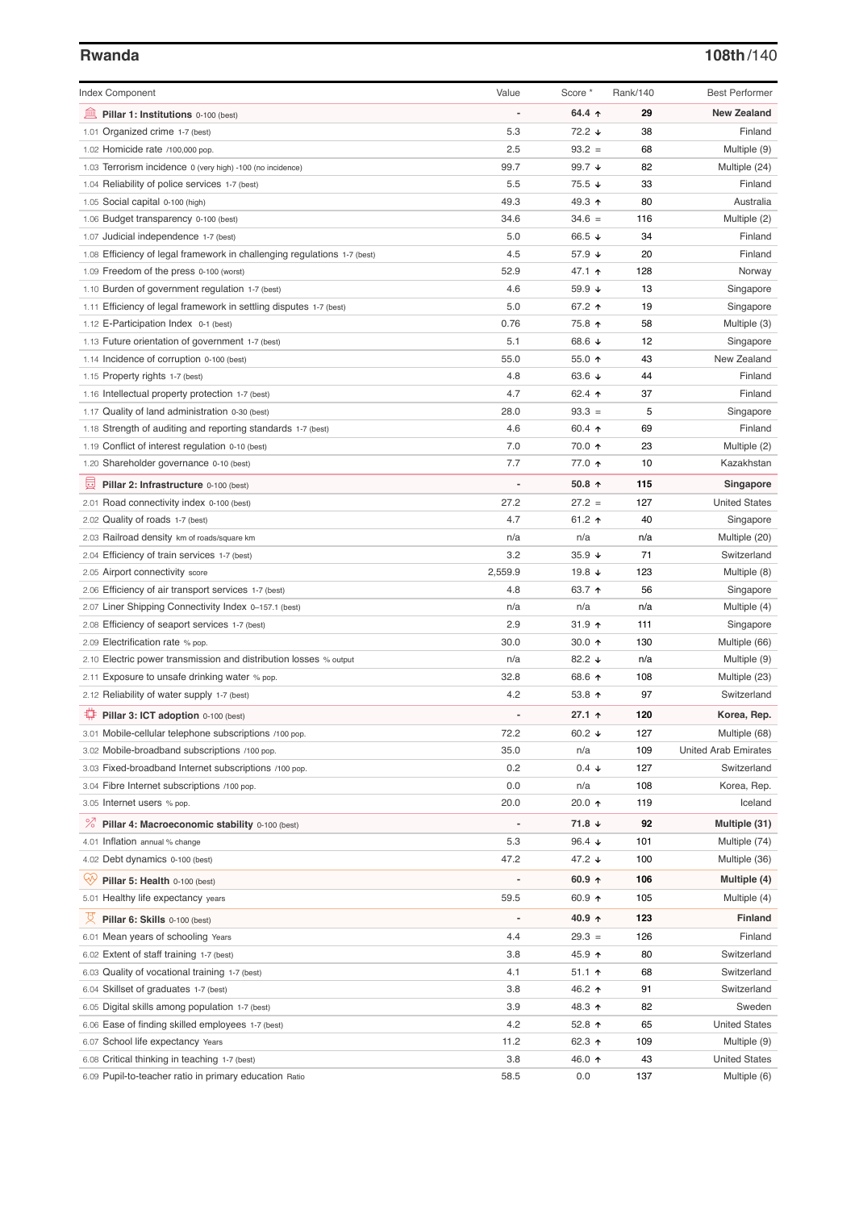## **Rwanda 108th**/140

| <b>Index Component</b>                                                   | Value                        | Score *         | Rank/140   | <b>Best Performer</b>       |
|--------------------------------------------------------------------------|------------------------------|-----------------|------------|-----------------------------|
| 寙<br>Pillar 1: Institutions 0-100 (best)                                 |                              | 64.4 $\uparrow$ | 29         | <b>New Zealand</b>          |
| 1.01 Organized crime 1-7 (best)                                          | 5.3                          | 72.2 ↓          | 38         | Finland                     |
| 1.02 Homicide rate /100,000 pop.                                         | 2.5                          | $93.2 =$        | 68         | Multiple (9)                |
| 1.03 Terrorism incidence 0 (very high) -100 (no incidence)               | 99.7                         | 99.7 $\sqrt{ }$ | 82         | Multiple (24)               |
| 1.04 Reliability of police services 1-7 (best)                           | 5.5                          | 75.5 ↓          | 33         | Finland                     |
| 1.05 Social capital 0-100 (high)                                         | 49.3                         | 49.3 ↑          | 80         | Australia                   |
| 1.06 Budget transparency 0-100 (best)                                    | 34.6                         | $34.6 =$        | 116        | Multiple (2)                |
| 1.07 Judicial independence 1-7 (best)                                    | 5.0                          | 66.5 $\sqrt{ }$ | 34         | Finland                     |
| 1.08 Efficiency of legal framework in challenging regulations 1-7 (best) | 4.5                          | 57.9 ↓          | 20         | Finland                     |
| 1.09 Freedom of the press 0-100 (worst)                                  | 52.9                         | 47.1 ተ          | 128        | Norway                      |
| 1.10 Burden of government regulation 1-7 (best)                          | 4.6                          | 59.9 ↓          | 13         | Singapore                   |
| 1.11 Efficiency of legal framework in settling disputes 1-7 (best)       | 5.0                          | 67.2 ↑          | 19         | Singapore                   |
| 1.12 E-Participation Index 0-1 (best)                                    | 0.76                         | 75.8 ↑          | 58         | Multiple (3)                |
| 1.13 Future orientation of government 1-7 (best)                         | 5.1                          | 68.6 ↓          | 12         | Singapore                   |
| 1.14 Incidence of corruption 0-100 (best)                                | 55.0                         | 55.0 $\uparrow$ | 43         | New Zealand                 |
| 1.15 Property rights 1-7 (best)                                          | 4.8                          | 63.6 $\sqrt{ }$ | 44         | Finland                     |
| 1.16 Intellectual property protection 1-7 (best)                         | 4.7                          | 62.4 $\uparrow$ | 37         | Finland                     |
| 1.17 Quality of land administration 0-30 (best)                          | 28.0                         | $93.3 =$        | 5          | Singapore                   |
| 1.18 Strength of auditing and reporting standards 1-7 (best)             | 4.6                          | 60.4 $\uparrow$ | 69         | Finland                     |
| 1.19 Conflict of interest regulation 0-10 (best)                         | 7.0                          | 70.0 ↑          | 23         | Multiple (2)                |
| 1.20 Shareholder governance 0-10 (best)                                  | 7.7                          | 77.0 ↑          | 10         | Kazakhstan                  |
| 囩<br>Pillar 2: Infrastructure 0-100 (best)                               | $\qquad \qquad \blacksquare$ | 50.8 $\uparrow$ | 115        | Singapore                   |
| 2.01 Road connectivity index 0-100 (best)                                | 27.2                         | $27.2 =$        | 127        | <b>United States</b>        |
| 2.02 Quality of roads 1-7 (best)                                         | 4.7                          | 61.2 $\uparrow$ | 40         | Singapore                   |
| 2.03 Railroad density km of roads/square km                              | n/a                          | n/a             | n/a        | Multiple (20)               |
| 2.04 Efficiency of train services 1-7 (best)                             | 3.2                          | $35.9 +$        | 71         | Switzerland                 |
| 2.05 Airport connectivity score                                          | 2,559.9                      | 19.8 ↓          | 123        | Multiple (8)                |
| 2.06 Efficiency of air transport services 1-7 (best)                     | 4.8                          | 63.7 ↑          | 56         | Singapore                   |
| 2.07 Liner Shipping Connectivity Index 0-157.1 (best)                    | n/a                          | n/a             | n/a        | Multiple (4)                |
| 2.08 Efficiency of seaport services 1-7 (best)                           | 2.9                          | $31.9$ 1        | 111        | Singapore                   |
| 2.09 Electrification rate % pop.                                         | 30.0                         | 30.0 $\uparrow$ | 130        | Multiple (66)               |
| 2.10 Electric power transmission and distribution losses % output        | n/a                          | 82.2 $\sqrt{ }$ | n/a        | Multiple (9)                |
| 2.11 Exposure to unsafe drinking water % pop.                            | 32.8                         | 68.6 ↑          | 108        | Multiple (23)               |
| 2.12 Reliability of water supply 1-7 (best)                              | 4.2                          | 53.8 $\uparrow$ | 97         | Switzerland                 |
| ₩<br>Pillar 3: ICT adoption 0-100 (best)                                 |                              | 27.1 $\uparrow$ | 120        | Korea, Rep.                 |
| 3.01 Mobile-cellular telephone subscriptions /100 pop.                   | 72.2                         | 60.2 $\sqrt{ }$ | 127        | Multiple (68)               |
|                                                                          |                              |                 |            | <b>United Arab Emirates</b> |
| 3.02 Mobile-broadband subscriptions /100 pop.                            | 35.0<br>0.2                  | n/a             | 109        | Switzerland                 |
| 3.03 Fixed-broadband Internet subscriptions /100 pop.                    |                              | $0.4 \div$      | 127        |                             |
| 3.04 Fibre Internet subscriptions /100 pop.                              | 0.0<br>20.0                  | n/a<br>20.0 ↑   | 108<br>119 | Korea, Rep.                 |
| 3.05 Internet users % pop.                                               |                              |                 |            | Iceland                     |
| <sup>%</sup> Pillar 4: Macroeconomic stability 0-100 (best)              |                              | 71.8 $\sqrt{ }$ | 92         | Multiple (31)               |
| 4.01 Inflation annual % change                                           | 5.3                          | 96.4 $\sqrt{ }$ | 101        | Multiple (74)               |
| 4.02 Debt dynamics 0-100 (best)                                          | 47.2                         | 47.2 ↓          | 100        | Multiple (36)               |
| ₩<br>Pillar 5: Health 0-100 (best)                                       |                              | 60.9 $\uparrow$ | 106        | Multiple (4)                |
| 5.01 Healthy life expectancy years                                       | 59.5                         | 60.9 ↑          | 105        | Multiple (4)                |
| 섯<br>Pillar 6: Skills 0-100 (best)                                       |                              | 40.9 $\uparrow$ | 123        | <b>Finland</b>              |
| 6.01 Mean years of schooling Years                                       | 4.4                          | $29.3 =$        | 126        | Finland                     |
| 6.02 Extent of staff training 1-7 (best)                                 | 3.8                          | 45.9 ↑          | 80         | Switzerland                 |
| 6.03 Quality of vocational training 1-7 (best)                           | 4.1                          | $51.1$ 1        | 68         | Switzerland                 |
| 6.04 Skillset of graduates 1-7 (best)                                    | 3.8                          | 46.2 ↑          | 91         | Switzerland                 |
| 6.05 Digital skills among population 1-7 (best)                          | 3.9                          | 48.3 ↑          | 82         | Sweden                      |
| 6.06 Ease of finding skilled employees 1-7 (best)                        | 4.2                          | 52.8 $\uparrow$ | 65         | <b>United States</b>        |
| 6.07 School life expectancy Years                                        | 11.2                         | 62.3 $\uparrow$ | 109        | Multiple (9)                |
| 6.08 Critical thinking in teaching 1-7 (best)                            | 3.8                          | 46.0 ↑          | 43         | <b>United States</b>        |
| 6.09 Pupil-to-teacher ratio in primary education Ratio                   | 58.5                         | 0.0             | 137        | Multiple (6)                |